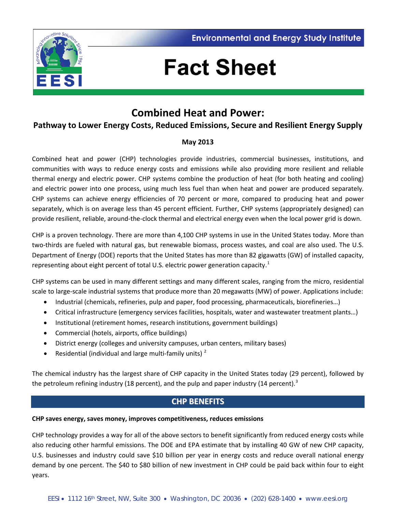



# **Fact Sheet**

## **Combined Heat and Power:**

## **Pathway to Lower Energy Costs, Reduced Emissions, Secure and Resilient Energy Supply**

### **May 2013**

Combined heat and power (CHP) technologies provide industries, commercial businesses, institutions, and communities with ways to reduce energy costs and emissions while also providing more resilient and reliable thermal energy and electric power. CHP systems combine the production of heat (for both heating and cooling) and electric power into one process, using much less fuel than when heat and power are produced separately. CHP systems can achieve energy efficiencies of 70 percent or more, compared to producing heat and power separately, which is on average less than 45 percent efficient. Further, CHP systems (appropriately designed) can provide resilient, reliable, around-the-clock thermal and electrical energy even when the local power grid is down.

CHP is a proven technology. There are more than 4,100 CHP systems in use in the United States today. More than two-thirds are fueled with natural gas, but renewable biomass, process wastes, and coal are also used. The U.S. Department of Energy (DOE) reports that the United States has more than 82 gigawatts (GW) of installed capacity, representing about eight percent of total U.S. electric power generation capacity.<sup>[1](#page-4-0)</sup>

CHP systems can be used in many different settings and many different scales, ranging from the micro, residential scale to large-scale industrial systems that produce more than 20 megawatts (MW) of power. Applications include:

- Industrial (chemicals, refineries, pulp and paper, food processing, pharmaceuticals, biorefineries…)
- Critical infrastructure (emergency services facilities, hospitals, water and wastewater treatment plants…)
- Institutional (retirement homes, research institutions, government buildings)
- Commercial (hotels, airports, office buildings)
- District energy (colleges and university campuses, urban centers, military bases)
- Residential (individual and large multi-family units)<sup>[2](#page-4-1)</sup>

The chemical industry has the largest share of CHP capacity in the United States today (29 percent), followed by the petroleum refining industry (18 percent), and the pulp and paper industry (14 percent).<sup>[3](#page-4-2)</sup>

## **CHP BENEFITS**

#### **CHP saves energy, saves money, improves competitiveness, reduces emissions**

CHP technology provides a way for all of the above sectors to benefit significantly from reduced energy costs while also reducing other harmful emissions. The DOE and EPA estimate that by installing 40 GW of new CHP capacity, U.S. businesses and industry could save \$10 billion per year in energy costs and reduce overall national energy demand by one percent. The \$40 to \$80 billion of new investment in CHP could be paid back within four to eight years.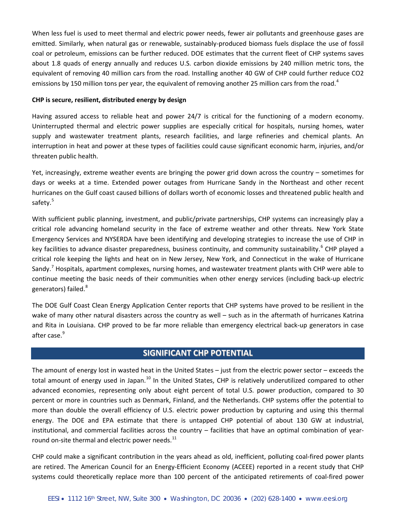When less fuel is used to meet thermal and electric power needs, fewer air pollutants and greenhouse gases are emitted. Similarly, when natural gas or renewable, sustainably-produced biomass fuels displace the use of fossil coal or petroleum, emissions can be further reduced. DOE estimates that the current fleet of CHP systems saves about 1.8 quads of energy annually and reduces U.S. carbon dioxide emissions by 240 million metric tons, the equivalent of removing 40 million cars from the road. Installing another 40 GW of CHP could further reduce CO2 emissions by 150 million tons per year, the equivalent of removing another 25 million cars from the road.<sup>[4](#page-5-0)</sup>

#### **CHP is secure, resilient, distributed energy by design**

Having assured access to reliable heat and power 24/7 is critical for the functioning of a modern economy. Uninterrupted thermal and electric power supplies are especially critical for hospitals, nursing homes, water supply and wastewater treatment plants, research facilities, and large refineries and chemical plants. An interruption in heat and power at these types of facilities could cause significant economic harm, injuries, and/or threaten public health.

Yet, increasingly, extreme weather events are bringing the power grid down across the country – sometimes for days or weeks at a time. Extended power outages from Hurricane Sandy in the Northeast and other recent hurricanes on the Gulf coast caused billions of dollars worth of economic losses and threatened public health and safety.<sup>[5](#page-5-1)</sup>

With sufficient public planning, investment, and public/private partnerships, CHP systems can increasingly play a critical role advancing homeland security in the face of extreme weather and other threats. New York State Emergency Services and NYSERDA have been identifying and developing strategies to increase the use of CHP in key facilities to advance disaster preparedness, business continuity, and community sustainability.<sup>[6](#page-5-2)</sup> CHP played a critical role keeping the lights and heat on in New Jersey, New York, and Connecticut in the wake of Hurricane Sandy.<sup>[7](#page-5-3)</sup> Hospitals, apartment complexes, nursing homes, and wastewater treatment plants with CHP were able to continue meeting the basic needs of their communities when other energy services (including back-up electric generators) failed.<sup>[8](#page-5-4)</sup>

The DOE Gulf Coast Clean Energy Application Center reports that CHP systems have proved to be resilient in the wake of many other natural disasters across the country as well – such as in the aftermath of hurricanes Katrina and Rita in Louisiana. CHP proved to be far more reliable than emergency electrical back-up generators in case after case.<sup>[9](#page-5-5)</sup>

## **SIGNIFICANT CHP POTENTIAL**

The amount of energy lost in wasted heat in the United States – just from the electric power sector – exceeds the total amount of energy used in Japan.<sup>[10](#page-5-6)</sup> In the United States, CHP is relatively underutilized compared to other advanced economies, representing only about eight percent of total U.S. power production, compared to 30 percent or more in countries such as Denmark, Finland, and the Netherlands. CHP systems offer the potential to more than double the overall efficiency of U.S. electric power production by capturing and using this thermal energy. The DOE and EPA estimate that there is untapped CHP potential of about 130 GW at industrial, institutional, and commercial facilities across the country – facilities that have an optimal combination of yearround on-site thermal and electric power needs. $^{11}$  $^{11}$  $^{11}$ 

CHP could make a significant contribution in the years ahead as old, inefficient, polluting coal-fired power plants are retired. The American Council for an Energy-Efficient Economy (ACEEE) reported in a recent study that CHP systems could theoretically replace more than 100 percent of the anticipated retirements of coal-fired power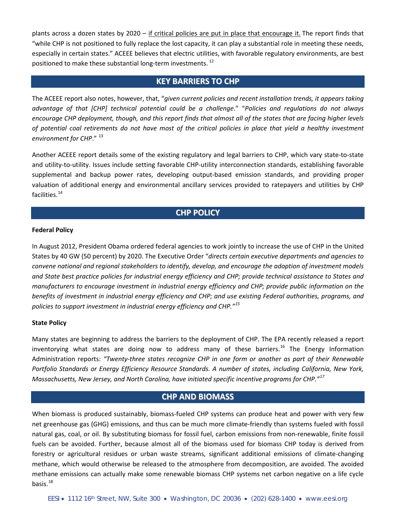plants across a dozen states by 2020 – if critical policies are put in place that encourage it. The report finds that "while CHP is not positioned to fully replace the lost capacity, it can play a substantial role in meeting these needs, especially in certain states." ACEEE believes that electric utilities, with favorable regulatory environments, are best positioned to make these substantial long-term investments.<sup>[12](#page-5-8)</sup>

#### **KEY BARRIERS TO CHP**

The ACEEE report also notes, however, that, "*given current policies and recent installation trends, it appears taking advantage of that [CHP] technical potential could be a challenge*." "*Policies and regulations do not always encourage CHP deployment, though, and this report finds that almost all of the states that are facing higher levels of potential coal retirements do not have most of the critical policies in place that yield a healthy investment environment for CHP*." [13](#page-5-9)

Another ACEEE report details some of the existing regulatory and legal barriers to CHP, which vary state-to-state and utility-to-utility. Issues include setting favorable CHP-utility interconnection standards, establishing favorable supplemental and backup power rates, developing output-based emission standards, and providing proper valuation of additional energy and environmental ancillary services provided to ratepayers and utilities by CHP facilities.<sup>[14](#page-5-10)</sup>

#### **CHP POLICY**

#### **Federal Policy**

In August 2012, President Obama ordered federal agencies to work jointly to increase the use of CHP in the United States by 40 GW (50 percent) by 2020. The Executive Order "*directs certain executive departments and agencies to convene national and regional stakeholders to identify, develop, and encourage the adoption of investment models and State best practice policies for industrial energy efficiency and CHP; provide technical assistance to States and manufacturers to encourage investment in industrial energy efficiency and CHP; provide public information on the benefits of investment in industrial energy efficiency and CHP; and use existing Federal authorities, programs, and policies to support investment in industrial energy efficiency and CHP."[15](#page-5-11)*

#### **State Policy**

Many states are beginning to address the barriers to the deployment of CHP. The EPA recently released a report inventorying what states are doing now to address many of these barriers.<sup>[16](#page-5-12)</sup> The Energy Information Administration reports: *"Twenty-three states recognize CHP in one form or another as part of their Renewable Portfolio Standards or Energy Efficiency Resource Standards. A number of states, including California, New York, Massachusetts, New Jersey, and North Carolina, have initiated specific incentive programs for CHP."[17](#page-5-13)*

## **CHP AND BIOMASS**

When biomass is produced sustainably, biomass-fueled CHP systems can produce heat and power with very few net greenhouse gas (GHG) emissions, and thus can be much more climate-friendly than systems fueled with fossil natural gas, coal, or oil. By substituting biomass for fossil fuel, carbon emissions from non-renewable, finite fossil fuels can be avoided. Further, because almost all of the biomass used for biomass CHP today is derived from forestry or agricultural residues or urban waste streams, significant additional emissions of climate-changing methane, which would otherwise be released to the atmosphere from decomposition, are avoided. The avoided methane emissions can actually make some renewable biomass CHP systems net carbon negative on a life cycle basis. $18$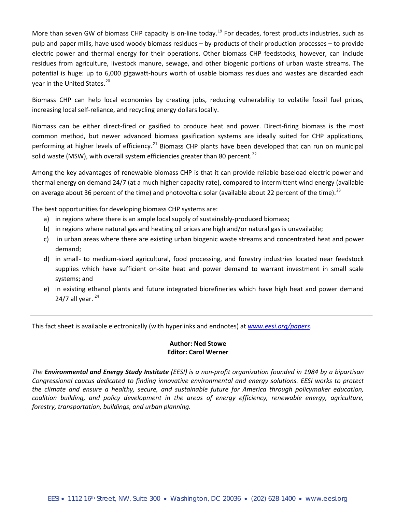More than seven GW of biomass CHP capacity is on-line today.<sup>[19](#page-5-15)</sup> For decades, forest products industries, such as pulp and paper mills, have used woody biomass residues – by-products of their production processes – to provide electric power and thermal energy for their operations. Other biomass CHP feedstocks, however, can include residues from agriculture, livestock manure, sewage, and other biogenic portions of urban waste streams. The potential is huge: up to 6,000 gigawatt-hours worth of usable biomass residues and wastes are discarded each year in the United States.<sup>[20](#page-5-16)</sup>

Biomass CHP can help local economies by creating jobs, reducing vulnerability to volatile fossil fuel prices, increasing local self-reliance, and recycling energy dollars locally.

Biomass can be either direct-fired or gasified to produce heat and power. Direct-firing biomass is the most common method, but newer advanced biomass gasification systems are ideally suited for CHP applications, performing at higher levels of efficiency.<sup>[21](#page-5-17)</sup> Biomass CHP plants have been developed that can run on municipal solid waste (MSW), with overall system efficiencies greater than 80 percent.<sup>[22](#page-5-18)</sup>

Among the key advantages of renewable biomass CHP is that it can provide reliable baseload electric power and thermal energy on demand 24/7 (at a much higher capacity rate), compared to intermittent wind energy (available on average about 36 percent of the time) and photovoltaic solar (available about 22 percent of the time).<sup>[23](#page-5-19)</sup>

The best opportunities for developing biomass CHP systems are:

- a) in regions where there is an ample local supply of sustainably-produced biomass;
- b) in regions where natural gas and heating oil prices are high and/or natural gas is unavailable;
- c) in urban areas where there are existing urban biogenic waste streams and concentrated heat and power demand;
- d) in small- to medium-sized agricultural, food processing, and forestry industries located near feedstock supplies which have sufficient on-site heat and power demand to warrant investment in small scale systems; and
- e) in existing ethanol plants and future integrated biorefineries which have high heat and power demand [24](#page-5-20)/7 all year.  $24$

This fact sheet is available electronically (with hyperlinks and endnotes) at *[www.eesi.org/papers](http://www.eesi.org/papers)*.

#### **Author: Ned Stowe Editor: Carol Werner**

*The Environmental and Energy Study Institute (EESI) is a non-profit organization founded in 1984 by a bipartisan Congressional caucus dedicated to finding innovative environmental and energy solutions. EESI works to protect the climate and ensure a healthy, secure, and sustainable future for America through policymaker education, coalition building, and policy development in the areas of energy efficiency, renewable energy, agriculture, forestry, transportation, buildings, and urban planning.*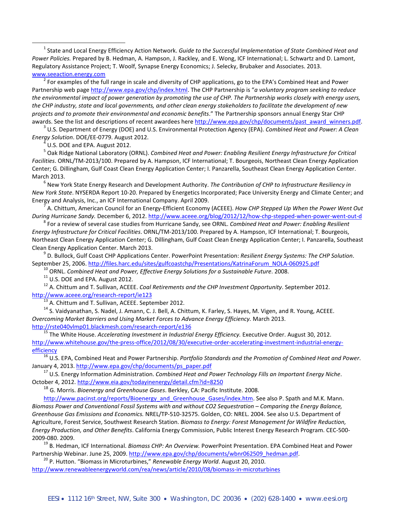<span id="page-4-0"></span> 1 State and Local Energy Efficiency Action Network. *Guide to the Successful Implementation of State Combined Heat and Power Policies.* Prepared by B. Hedman, A. Hampson, J. Rackley, and E. Wong, ICF International; L. Schwartz and D. Lamont, Regulatory Assistance Project; T. Woolf, Synapse Energy Economics; J. Selecky, Brubaker and Associates. 2013. [www.seeaction.energy.com](http://www.seeaction.energy.com/)<br><sup>2</sup> For examples of the full range in scale and diversity of CHP applications, go to the EPA's Combined Heat and Power

<span id="page-4-1"></span>Partnership web pag[e http://www.epa.gov/chp/index.html.](http://www.epa.gov/chp/index.html) The CHP Partnership is "*a voluntary program seeking to reduce the environmental impact of power generation by promoting the use of CHP. The Partnership works closely with energy users, the CHP industry, state and local governments, and other clean energy stakeholders to facilitate the development of new projects and to promote their environmental and economic benefits*." The Partnership sponsors annual Energy Star CHP awards. See the list and descriptions of recent awardees her[e http://www.epa.gov/chp/documents/past\\_award\\_winners.pdf.](http://www.epa.gov/chp/documents/past_award_winners.pdf)<br><sup>3</sup> U.S. Department of Energy (DOE) and U.S. Environmental Protection Agency (EPA). Combined Heat and P

<span id="page-4-2"></span>*Energy Solution*. DOE/EE-0779. August 2012. 4 U.S. DOE and EPA. August 2012.

<sup>5</sup> Oak Ridge National Laboratory (ORNL). *Combined Heat and Power: Enabling Resilient Energy Infrastructure for Critical Facilities*. ORNL/TM-2013/100. Prepared by A. Hampson, ICF International; T. Bourgeois, Northeast Clean Energy Application Center; G. Dillingham, Gulf Coast Clean Energy Application Center; I. Panzarella, Southeast Clean Energy Application Center.

March 2013. <sup>6</sup> New York State Energy Research and Development Authority. *The Contribution of CHP to Infrastructure Resiliency in New York State*. NYSERDA Report 10-20. Prepared by Energetics Incorporated; Pace University Energy and Climate Center; and Energy and Analysis, Inc., an ICF International Company. April 2009. <sup>7</sup> A. Chittum, American Council for an Energy-Efficient Economy (ACEEE). *How CHP Stepped Up When the Power Went Out* 

During Hurricane Sandy. December 6, 2012[. http://www.aceee.org/blog/2012/12/how-chp-stepped-when-power-went-out-d](http://www.aceee.org/blog/2012/12/how-chp-stepped-when-power-went-out-d)<br><sup>8</sup> For a review of several case studies from Hurricane Sandy, see ORNL. Combined Heat and Power: Enabling R

*Energy Infrastructure for Critical Facilities*. ORNL/TM-2013/100. Prepared by A. Hampson, ICF International; T. Bourgeois, Northeast Clean Energy Application Center; G. Dillingham, Gulf Coast Clean Energy Application Center; I. Panzarella, Southeast Clean Energy Application Center. March 2013.

<sup>9</sup> D. Bullock, Gulf Coast CHP Applications Center. PowerPoint Presentation: *Resilient Energy Systems: The CHP Solution*.

September 25, 2006[. http://files.harc.edu/sites/gulfcoastchp/Presentations/KatrinaForum\\_NOLA-060925.pdf](http://files.harc.edu/sites/gulfcoastchp/Presentations/KatrinaForum_NOLA-060925.pdf)<br><sup>10</sup> ORNL. Combined Heat and Power, Effective Energy Solutions for a Sustainable Future. 2008.<br><sup>11</sup> U.S. DOE and EPA.

<sup>13</sup> A. Chittum and T. Sullivan, ACEEE. September 2012. <sup>13</sup> A. Chittum, K. Farley, S. Hayes, M. Vigen, and R. Young, ACEEE. **14 S. Vaidyanathan, S. Nadel, J. Amann, C. J. Bell**, A. Chittum, K. Farley, S. Hayes, M. Vigen, *Overcoming Market Barriers and Using Market Forces to Advance Energy Efficiency.* March 2013.

<http://rste040vlmp01.blackmesh.com/research-report/e136> <sup>15</sup> The White House. *Accelerating Investment in Industrial Energy Efficiency.* Executive Order. August 30, 2012. [http://www.whitehouse.gov/the-press-office/2012/08/30/executive-order-accelerating-investment-industrial-energy-](http://www.whitehouse.gov/the-press-office/2012/08/30/executive-order-accelerating-investment-industrial-energy-efficiency)

[efficiency](http://www.whitehouse.gov/the-press-office/2012/08/30/executive-order-accelerating-investment-industrial-energy-efficiency) <sup>16</sup> U.S. EPA, Combined Heat and Power Partnership. *Portfolio Standards and the Promotion of Combined Heat and Power*. January 4, 2013. [http://www.epa.gov/chp/documents/ps\\_paper.pdf](http://www.epa.gov/chp/documents/ps_paper.pdf)<br><sup>17</sup> U.S. Energy Information Administration. *Combined Heat and Power Technology Fills an Important Energy Niche*.

October 4, 2012.<http://www.eia.gov/todayinenergy/detail.cfm?id=8250>

<sup>18</sup> G. Morris. *Bioenergy and Greenhouse Gases*. Berkley, CA: Pacific Institute. 2008.

[http://www.pacinst.org/reports/Bioenergy\\_and\\_Greenhouse\\_Gases/index.htm.](http://www.pacinst.org/reports/Bioenergy_and_Greenhouse_Gases/index.htm) See also P. Spath and M.K. Mann. *Biomass Power and Conventional Fossil Systems with and without CO2 Sequestration – Comparing the Energy Balance, Greenhouse Gas Emissions and Economics.* NREL/TP-510-32575. Golden, CO: NREL. 2004. See also U.S. Department of Agriculture, Forest Service, Southwest Research Station. *Biomass to Energy: Forest Management for Wildfire Reduction, Energy Production, and Other Benefits*. California Energy Commission, Public Interest Energy Research Program. CEC-500-

2009-080. 2009.<br><sup>19</sup> B. Hedman, ICF International. *Biomass CHP: An Overview*. PowerPoint Presentation. EPA Combined Heat and Power<br>Partnership Webinar. June 25, 2009. http://www.epa.gov/chp/documents/wbnr062509 hedman.pdf

<sup>20</sup> P. Hutton. "Biomass in Microturbines," *Renewable Energy World*. August 20, 2010. <http://www.renewableenergyworld.com/rea/news/article/2010/08/biomass-in-microturbines>